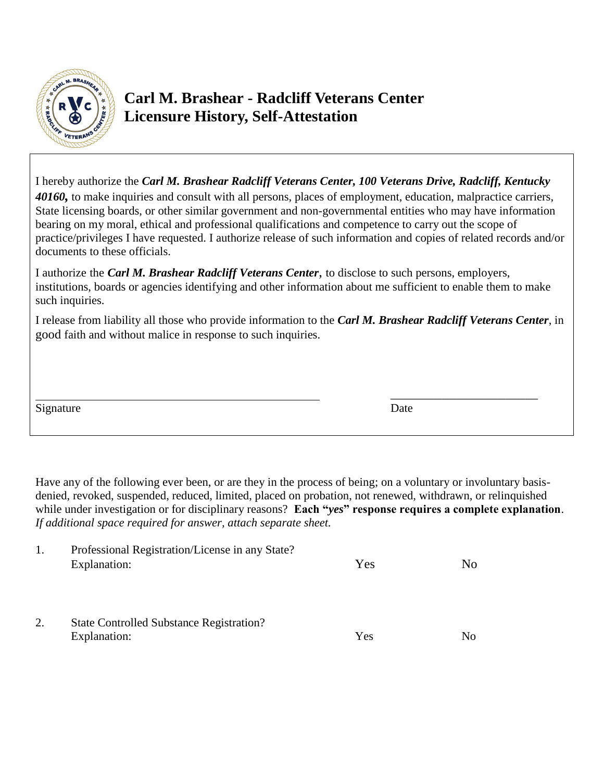

## **Carl M. Brashear - Radcliff Veterans Center Licensure History, Self-Attestation**

| I hereby authorize the Carl M. Brashear Radcliff Veterans Center, 100 Veterans Drive, Radcliff, Kentucky<br>40160, to make inquiries and consult with all persons, places of employment, education, malpractice carriers,<br>State licensing boards, or other similar government and non-governmental entities who may have information<br>bearing on my moral, ethical and professional qualifications and competence to carry out the scope of<br>practice/privileges I have requested. I authorize release of such information and copies of related records and/or<br>documents to these officials. |      |  |  |  |  |
|---------------------------------------------------------------------------------------------------------------------------------------------------------------------------------------------------------------------------------------------------------------------------------------------------------------------------------------------------------------------------------------------------------------------------------------------------------------------------------------------------------------------------------------------------------------------------------------------------------|------|--|--|--|--|
| I authorize the <i>Carl M. Brashear Radcliff Veterans Center</i> , to disclose to such persons, employers,<br>institutions, boards or agencies identifying and other information about me sufficient to enable them to make<br>such inquiries.                                                                                                                                                                                                                                                                                                                                                          |      |  |  |  |  |
| I release from liability all those who provide information to the Carl M. Brashear Radcliff Veterans Center, in<br>good faith and without malice in response to such inquiries.                                                                                                                                                                                                                                                                                                                                                                                                                         |      |  |  |  |  |
| Signature                                                                                                                                                                                                                                                                                                                                                                                                                                                                                                                                                                                               | Date |  |  |  |  |

Have any of the following ever been, or are they in the process of being; on a voluntary or involuntary basisdenied, revoked, suspended, reduced, limited, placed on probation, not renewed, withdrawn, or relinquished while under investigation or for disciplinary reasons? **Each "***yes***" response requires a complete explanation**. *If additional space required for answer, attach separate sheet.*

| 1. | Professional Registration/License in any State? |     |                |  |  |
|----|-------------------------------------------------|-----|----------------|--|--|
|    | Explanation:                                    | Yes | N <sub>0</sub> |  |  |
|    |                                                 |     |                |  |  |
|    |                                                 |     |                |  |  |
|    |                                                 |     |                |  |  |
| 2. | <b>State Controlled Substance Registration?</b> |     |                |  |  |
|    | Explanation:                                    | Yes | N <sub>0</sub> |  |  |
|    |                                                 |     |                |  |  |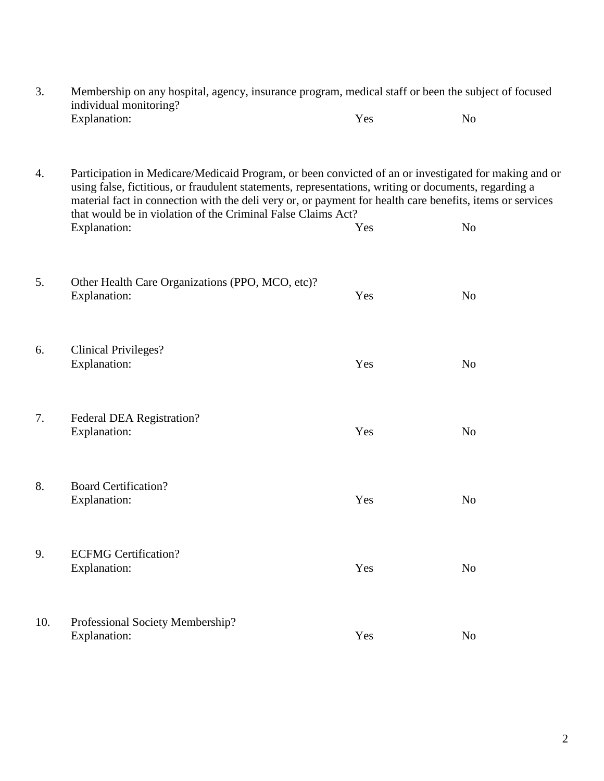| 3.  | Membership on any hospital, agency, insurance program, medical staff or been the subject of focused<br>individual monitoring?                                                                                                                                                                                                                                                                               |     |                |  |
|-----|-------------------------------------------------------------------------------------------------------------------------------------------------------------------------------------------------------------------------------------------------------------------------------------------------------------------------------------------------------------------------------------------------------------|-----|----------------|--|
|     | Explanation:                                                                                                                                                                                                                                                                                                                                                                                                | Yes | N <sub>o</sub> |  |
| 4.  | Participation in Medicare/Medicaid Program, or been convicted of an or investigated for making and or<br>using false, fictitious, or fraudulent statements, representations, writing or documents, regarding a<br>material fact in connection with the deli very or, or payment for health care benefits, items or services<br>that would be in violation of the Criminal False Claims Act?<br>Explanation: | Yes | N <sub>o</sub> |  |
| 5.  | Other Health Care Organizations (PPO, MCO, etc)?<br>Explanation:                                                                                                                                                                                                                                                                                                                                            | Yes | N <sub>o</sub> |  |
| 6.  | <b>Clinical Privileges?</b><br>Explanation:                                                                                                                                                                                                                                                                                                                                                                 | Yes | N <sub>o</sub> |  |
| 7.  | Federal DEA Registration?<br>Explanation:                                                                                                                                                                                                                                                                                                                                                                   | Yes | N <sub>o</sub> |  |
| 8.  | <b>Board Certification?</b><br>Explanation:                                                                                                                                                                                                                                                                                                                                                                 | Yes | N <sub>o</sub> |  |
| 9.  | <b>ECFMG</b> Certification?<br>Explanation:                                                                                                                                                                                                                                                                                                                                                                 | Yes | N <sub>o</sub> |  |
| 10. | Professional Society Membership?<br>Explanation:                                                                                                                                                                                                                                                                                                                                                            | Yes | N <sub>0</sub> |  |